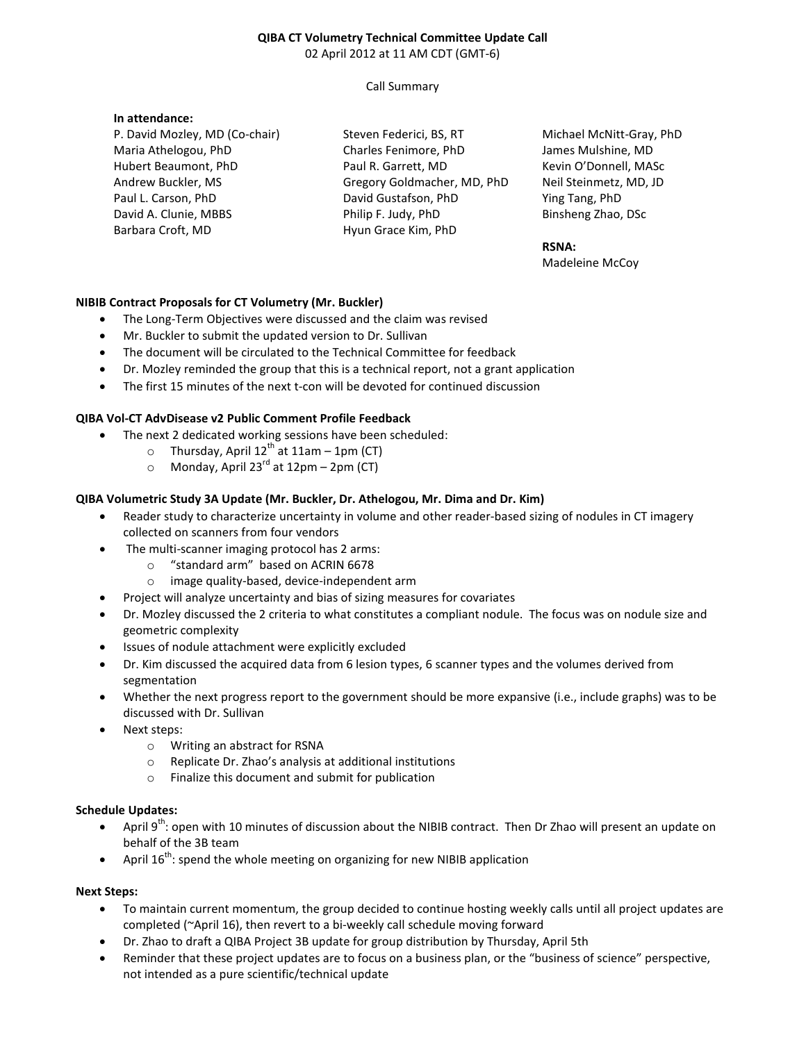# **QIBA CT Volumetry Technical Committee Update Call**  02 April 2012 at 11 AM CDT (GMT-6)

# Call Summary

# **In attendance:**

P. David Mozley, MD (Co-chair) Maria Athelogou, PhD Hubert Beaumont, PhD Andrew Buckler, MS Paul L. Carson, PhD David A. Clunie, MBBS Barbara Croft, MD

Steven Federici, BS, RT Charles Fenimore, PhD Paul R. Garrett, MD Gregory Goldmacher, MD, PhD David Gustafson, PhD Philip F. Judy, PhD Hyun Grace Kim, PhD

Michael McNitt-Gray, PhD James Mulshine, MD Kevin O'Donnell, MASc Neil Steinmetz, MD, JD Ying Tang, PhD Binsheng Zhao, DSc

## **RSNA:**

Madeleine McCoy

# **NIBIB Contract Proposals for CT Volumetry (Mr. Buckler)**

- The Long-Term Objectives were discussed and the claim was revised
- Mr. Buckler to submit the updated version to Dr. Sullivan
- The document will be circulated to the Technical Committee for feedback
- Dr. Mozley reminded the group that this is a technical report, not a grant application
- The first 15 minutes of the next t-con will be devoted for continued discussion

#### **QIBA Vol-CT AdvDisease v2 Public Comment Profile Feedback**

- The next 2 dedicated working sessions have been scheduled:
	- $\circ$  Thursday, April 12<sup>th</sup> at 11am 1pm (CT)
	- $\circ$  Monday, April 23<sup>rd</sup> at 12pm 2pm (CT)

#### **QIBA Volumetric Study 3A Update (Mr. Buckler, Dr. Athelogou, Mr. Dima and Dr. Kim)**

- Reader study to characterize uncertainty in volume and other reader-based sizing of nodules in CT imagery collected on scanners from four vendors
- The multi-scanner imaging protocol has 2 arms:
	- o "standard arm" based on ACRIN 6678
	- o image quality-based, device-independent arm
- Project will analyze uncertainty and bias of sizing measures for covariates
- Dr. Mozley discussed the 2 criteria to what constitutes a compliant nodule. The focus was on nodule size and geometric complexity
- Issues of nodule attachment were explicitly excluded
- Dr. Kim discussed the acquired data from 6 lesion types, 6 scanner types and the volumes derived from segmentation
- Whether the next progress report to the government should be more expansive (i.e., include graphs) was to be discussed with Dr. Sullivan
- Next steps:
	- o Writing an abstract for RSNA
	- o Replicate Dr. Zhao's analysis at additional institutions
	- o Finalize this document and submit for publication

### **Schedule Updates:**

- April 9<sup>th</sup>: open with 10 minutes of discussion about the NIBIB contract. Then Dr Zhao will present an update on behalf of the 3B team
- April  $16^{th}$ : spend the whole meeting on organizing for new NIBIB application

#### **Next Steps:**

- To maintain current momentum, the group decided to continue hosting weekly calls until all project updates are completed (~April 16), then revert to a bi-weekly call schedule moving forward
- Dr. Zhao to draft a QIBA Project 3B update for group distribution by Thursday, April 5th
- Reminder that these project updates are to focus on a business plan, or the "business of science" perspective, not intended as a pure scientific/technical update